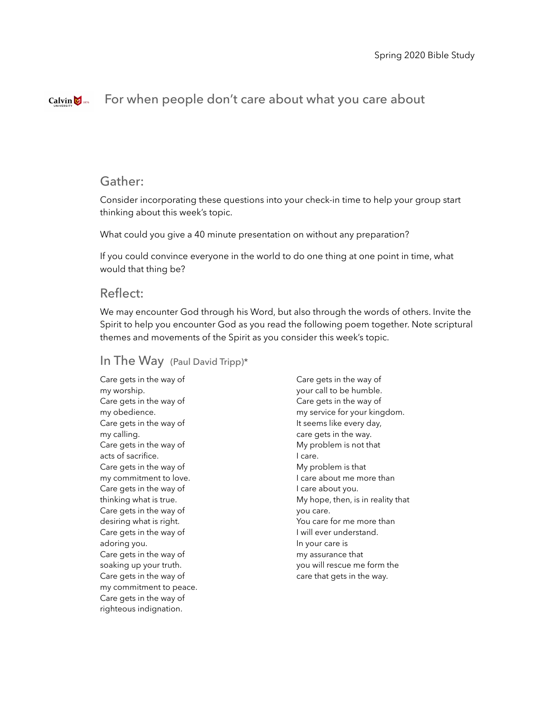#### Calvin  $\bigotimes$  1876 For when people don't care about what you care about

# Gather:

Consider incorporating these questions into your check-in time to help your group start thinking about this week's topic.

What could you give a 40 minute presentation on without any preparation?

If you could convince everyone in the world to do one thing at one point in time, what would that thing be?

# Reflect:

We may encounter God through his Word, but also through the words of others. Invite the Spirit to help you encounter God as you read the following poem together. Note scriptural themes and movements of the Spirit as you consider this week's topic.

### In The Way (Paul David Tripp)\*

Care gets in the way of my worship. Care gets in the way of my obedience. Care gets in the way of my calling. Care gets in the way of acts of sacrifice. Care gets in the way of my commitment to love. Care gets in the way of thinking what is true. Care gets in the way of desiring what is right. Care gets in the way of adoring you. Care gets in the way of soaking up your truth. Care gets in the way of my commitment to peace. Care gets in the way of righteous indignation.

Care gets in the way of your call to be humble. Care gets in the way of my service for your kingdom. It seems like every day, care gets in the way. My problem is not that I care. My problem is that I care about me more than I care about you. My hope, then, is in reality that you care. You care for me more than I will ever understand. In your care is my assurance that you will rescue me form the care that gets in the way.